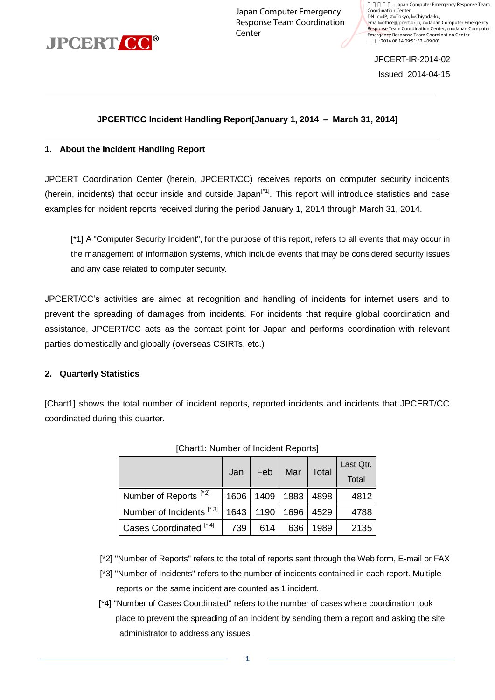

Japan Computer Emergency Response Team Coordination **Center** 

: Japan Computer Emergency Response Team Coordination Center DN : c=JP, st=Tokyo, l=Chiyoda-ku, email=office@jpcert.or.jp, o=Japan Computer Emergency Response Team Coordination Center, cn=Japan Computer Emergency Response Team Coordination Center 日付 : 2014.08.14 09:51:52 +09'00'

JPCERT-IR-2014-02

Issued: 2014-04-15

#### **JPCERT/CC Incident Handling Report[January 1, 2014 – March 31, 2014]**

#### **1. About the Incident Handling Report**

JPCERT Coordination Center (herein, JPCERT/CC) receives reports on computer security incidents (herein, incidents) that occur inside and outside Japan<sup>[\*1]</sup>. This report will introduce statistics and case examples for incident reports received during the period January 1, 2014 through March 31, 2014.

[\*1] A "Computer Security Incident", for the purpose of this report, refers to all events that may occur in the management of information systems, which include events that may be considered security issues and any case related to computer security.

JPCERT/CC's activities are aimed at recognition and handling of incidents for internet users and to prevent the spreading of damages from incidents. For incidents that require global coordination and assistance, JPCERT/CC acts as the contact point for Japan and performs coordination with relevant parties domestically and globally (overseas CSIRTs, etc.)

#### **2. Quarterly Statistics**

[Chart1] shows the total number of incident reports, reported incidents and incidents that JPCERT/CC coordinated during this quarter.

|                                     | Jan  | Feb  | Mar       | Total | Last Qtr.<br>Total |
|-------------------------------------|------|------|-----------|-------|--------------------|
| Number of Reports <sup>[*2]</sup>   | 1606 | 1409 | 1883 4898 |       | 4812               |
| Number of Incidents <sup>[*3]</sup> | 1643 | 1190 | 1696 4529 |       | 4788               |
| Cases Coordinated <sup>[*4]</sup>   | 739  | 614  | 636       | 1989  | 2135               |

|  | [Chart1: Number of Incident Reports] |  |  |  |
|--|--------------------------------------|--|--|--|
|--|--------------------------------------|--|--|--|

[\*2] "Number of Reports" refers to the total of reports sent through the Web form, E-mail or FAX

- [\*3] "Number of Incidents" refers to the number of incidents contained in each report. Multiple reports on the same incident are counted as 1 incident.
- [\*4] "Number of Cases Coordinated" refers to the number of cases where coordination took place to prevent the spreading of an incident by sending them a report and asking the site administrator to address any issues.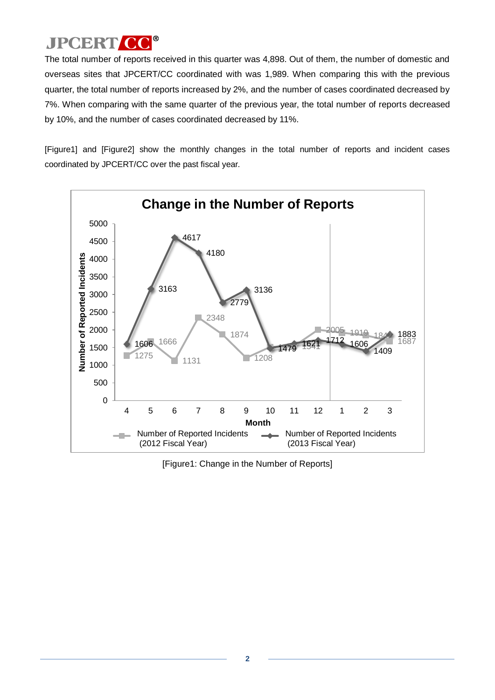The total number of reports received in this quarter was 4,898. Out of them, the number of domestic and overseas sites that JPCERT/CC coordinated with was 1,989. When comparing this with the previous quarter, the total number of reports increased by 2%, and the number of cases coordinated decreased by 7%. When comparing with the same quarter of the previous year, the total number of reports decreased by 10%, and the number of cases coordinated decreased by 11%.

[Figure1] and [Figure2] show the monthly changes in the total number of reports and incident cases coordinated by JPCERT/CC over the past fiscal year.



[Figure1: Change in the Number of Reports]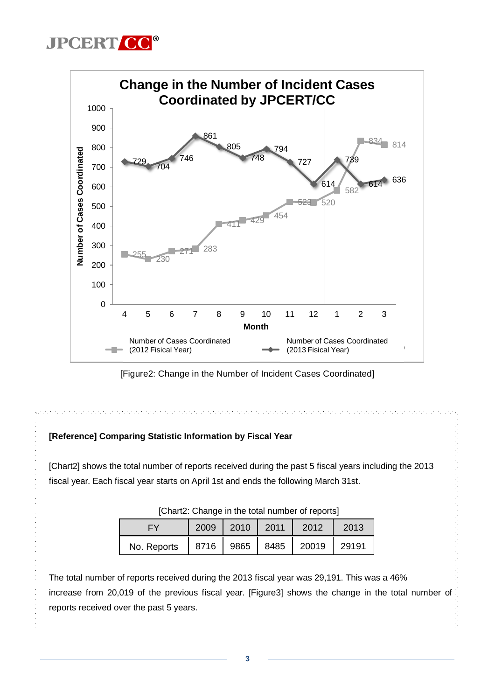



[Figure2: Change in the Number of Incident Cases Coordinated]

n na matanan na matanan na matanan na matanan na matanan na matanan na matanan na matanan na matanan na matana

### **[Reference] Comparing Statistic Information by Fiscal Year**

[Chart2] shows the total number of reports received during the past 5 fiscal years including the 2013 fiscal year. Each fiscal year starts on April 1st and ends the following March 31st.

| $\sim$ . The strategie in the total hannour or reporter<br> 2010<br>2009<br>2011<br>2013<br>2012<br>EY |  |                    |  |       |       |  |
|--------------------------------------------------------------------------------------------------------|--|--------------------|--|-------|-------|--|
| No. Reports                                                                                            |  | 8716   9865   8485 |  | 20019 | 29191 |  |

| [Chart2: Change in the total number of reports] |  |  |
|-------------------------------------------------|--|--|
|-------------------------------------------------|--|--|

The total number of reports received during the 2013 fiscal year was 29,191. This was a 46% increase from 20,019 of the previous fiscal year. [Figure3] shows the change in the total number of reports received over the past 5 years.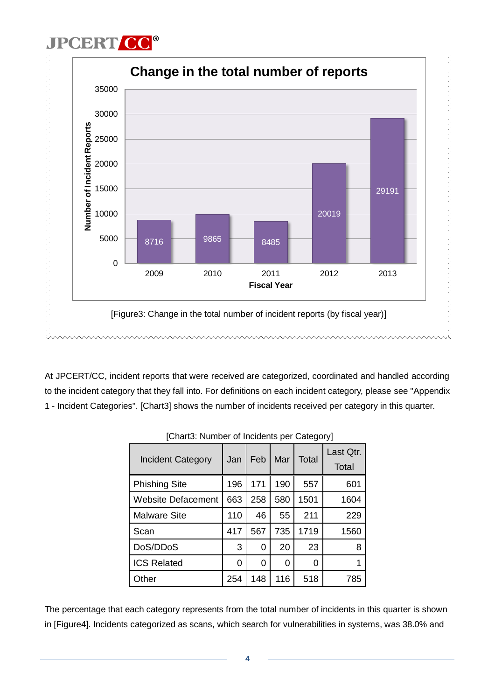

At JPCERT/CC, incident reports that were received are categorized, coordinated and handled according to the incident category that they fall into. For definitions on each incident category, please see "Appendix 1 - Incident Categories". [Chart3] shows the number of incidents received per category in this quarter.

| <b>Incident Category</b>  | Jan | Feb | Mar | <b>Total</b> | Last Qtr.<br>Total |
|---------------------------|-----|-----|-----|--------------|--------------------|
| <b>Phishing Site</b>      | 196 | 171 | 190 | 557          | 601                |
| <b>Website Defacement</b> | 663 | 258 | 580 | 1501         | 1604               |
| <b>Malware Site</b>       | 110 | 46  | 55  | 211          | 229                |
| Scan                      | 417 | 567 | 735 | 1719         | 1560               |
| DoS/DDoS                  | 3   | 0   | 20  | 23           | 8                  |
| <b>ICS Related</b>        | 0   | 0   | 0   | 0            |                    |
| Other                     | 254 | 148 | 116 | 518          | 785                |

| [Chart3: Number of Incidents per Category] |  |
|--------------------------------------------|--|
|--------------------------------------------|--|

The percentage that each category represents from the total number of incidents in this quarter is shown in [Figure4]. Incidents categorized as scans, which search for vulnerabilities in systems, was 38.0% and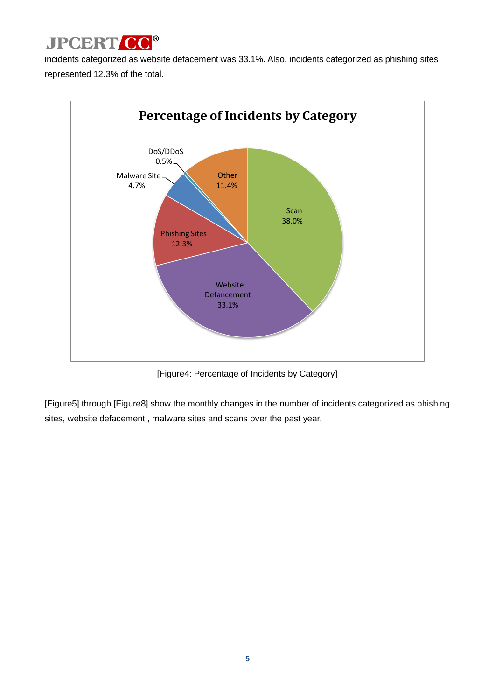

incidents categorized as website defacement was 33.1%. Also, incidents categorized as phishing sites represented 12.3% of the total.



[Figure4: Percentage of Incidents by Category]

[Figure5] through [Figure8] show the monthly changes in the number of incidents categorized as phishing sites, website defacement , malware sites and scans over the past year.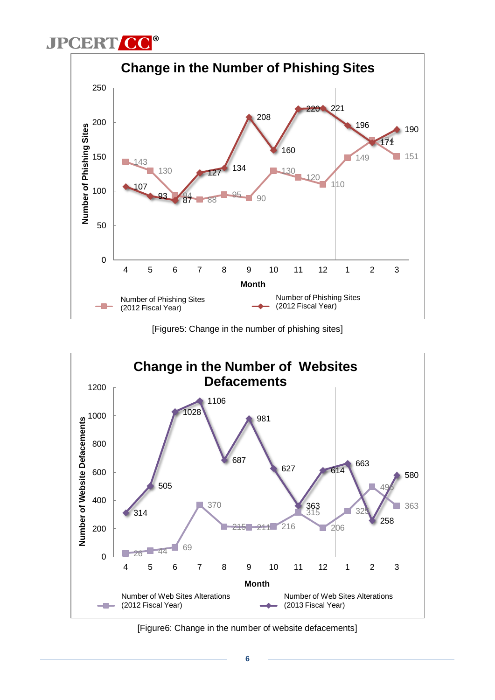



[Figure5: Change in the number of phishing sites]



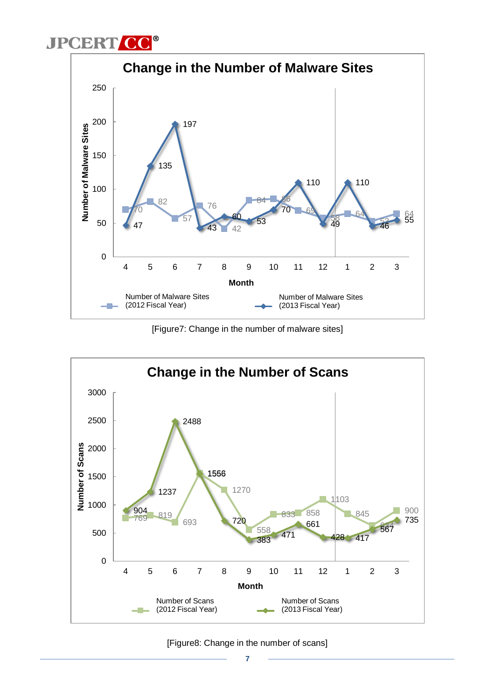



[Figure7: Change in the number of malware sites]



[Figure8: Change in the number of scans]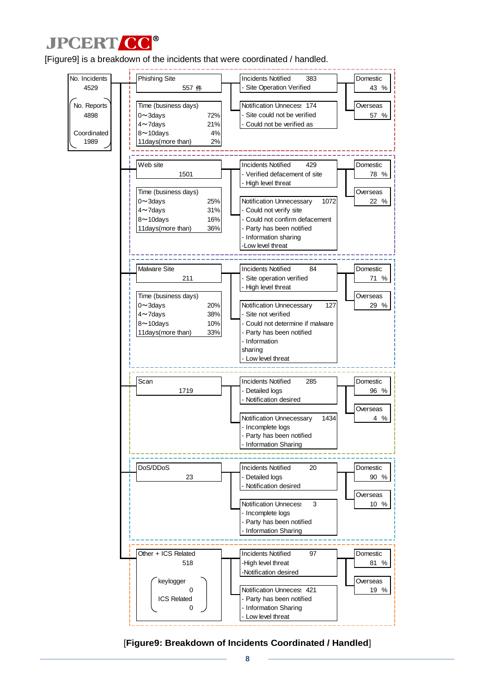

[Figure9] is a breakdown of the incidents that were coordinated / handled.



[**Figure9: Breakdown of Incidents Coordinated / Handled**]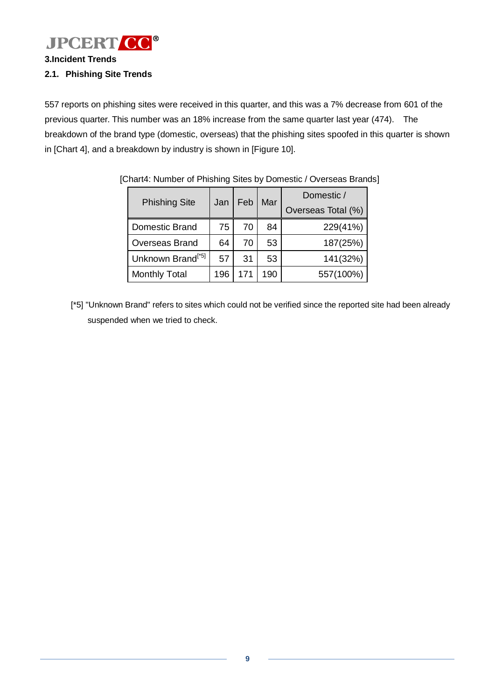

**3.Incident Trends**

### **2.1. Phishing Site Trends**

557 reports on phishing sites were received in this quarter, and this was a 7% decrease from 601 of the previous quarter. This number was an 18% increase from the same quarter last year (474). The breakdown of the brand type (domestic, overseas) that the phishing sites spoofed in this quarter is shown in [Chart 4], and a breakdown by industry is shown in [Figure 10].

| <b>Phishing Site</b>          | Jan | Feb | Mar | Domestic /<br>Overseas Total (%) |  |  |  |
|-------------------------------|-----|-----|-----|----------------------------------|--|--|--|
| <b>Domestic Brand</b>         | 75  | 70  | 84  | 229(41%)                         |  |  |  |
| <b>Overseas Brand</b>         | 64  | 70  | 53  | 187(25%)                         |  |  |  |
| Unknown Brand <sup>[*5]</sup> | 57  | 31  | 53  | 141(32%)                         |  |  |  |
| <b>Monthly Total</b>          | 196 | 171 | 190 | 557(100%)                        |  |  |  |

[Chart4: Number of Phishing Sites by Domestic / Overseas Brands]

[\*5] "Unknown Brand" refers to sites which could not be verified since the reported site had been already suspended when we tried to check.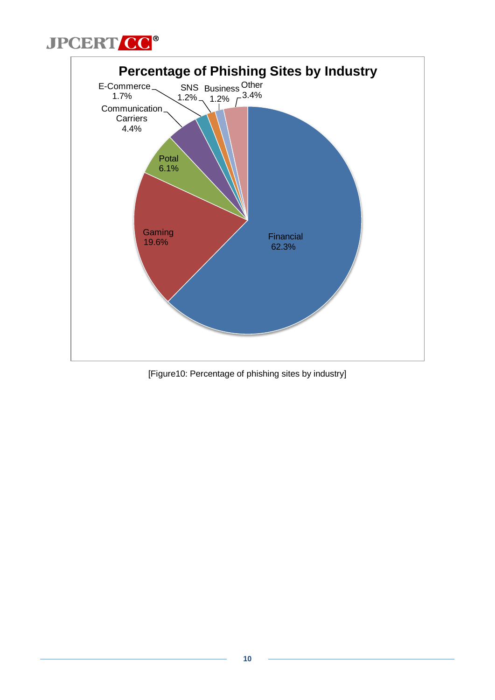



[Figure10: Percentage of phishing sites by industry]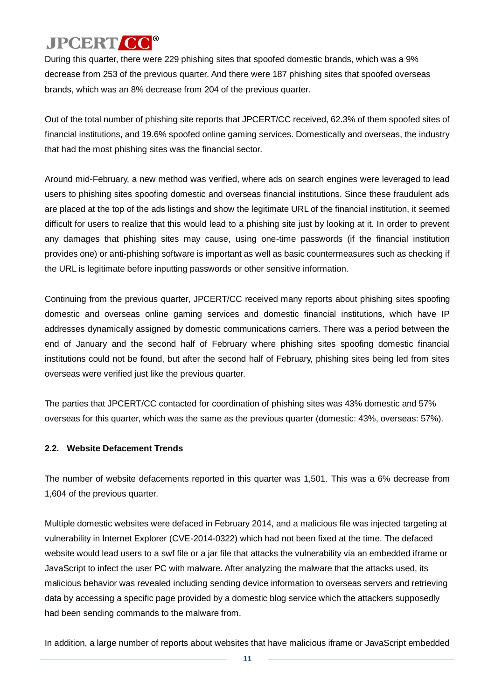During this quarter, there were 229 phishing sites that spoofed domestic brands, which was a 9% decrease from 253 of the previous quarter. And there were 187 phishing sites that spoofed overseas brands, which was an 8% decrease from 204 of the previous quarter.

Out of the total number of phishing site reports that JPCERT/CC received, 62.3% of them spoofed sites of financial institutions, and 19.6% spoofed online gaming services. Domestically and overseas, the industry that had the most phishing sites was the financial sector.

Around mid-February, a new method was verified, where ads on search engines were leveraged to lead users to phishing sites spoofing domestic and overseas financial institutions. Since these fraudulent ads are placed at the top of the ads listings and show the legitimate URL of the financial institution, it seemed difficult for users to realize that this would lead to a phishing site just by looking at it. In order to prevent any damages that phishing sites may cause, using one-time passwords (if the financial institution provides one) or anti-phishing software is important as well as basic countermeasures such as checking if the URL is legitimate before inputting passwords or other sensitive information.

Continuing from the previous quarter, JPCERT/CC received many reports about phishing sites spoofing domestic and overseas online gaming services and domestic financial institutions, which have IP addresses dynamically assigned by domestic communications carriers. There was a period between the end of January and the second half of February where phishing sites spoofing domestic financial institutions could not be found, but after the second half of February, phishing sites being led from sites overseas were verified just like the previous quarter.

The parties that JPCERT/CC contacted for coordination of phishing sites was 43% domestic and 57% overseas for this quarter, which was the same as the previous quarter (domestic: 43%, overseas: 57%).

#### **2.2. Website Defacement Trends**

The number of website defacements reported in this quarter was 1,501. This was a 6% decrease from 1,604 of the previous quarter.

Multiple domestic websites were defaced in February 2014, and a malicious file was injected targeting at vulnerability in Internet Explorer (CVE-2014-0322) which had not been fixed at the time. The defaced website would lead users to a swf file or a jar file that attacks the vulnerability via an embedded iframe or JavaScript to infect the user PC with malware. After analyzing the malware that the attacks used, its malicious behavior was revealed including sending device information to overseas servers and retrieving data by accessing a specific page provided by a domestic blog service which the attackers supposedly had been sending commands to the malware from.

In addition, a large number of reports about websites that have malicious iframe or JavaScript embedded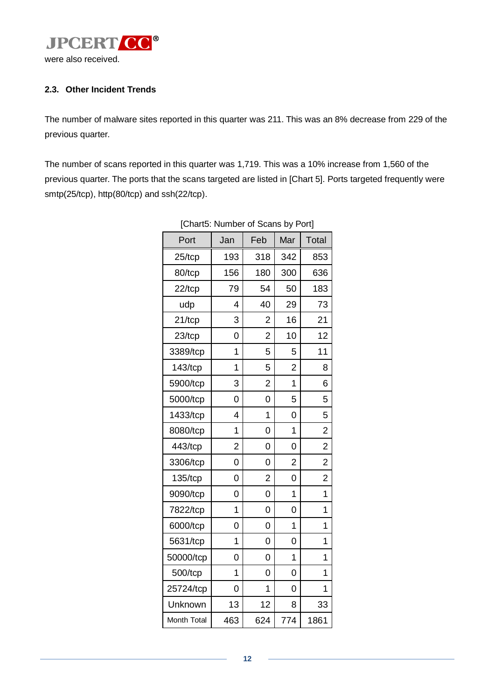

#### **2.3. Other Incident Trends**

The number of malware sites reported in this quarter was 211. This was an 8% decrease from 229 of the previous quarter.

The number of scans reported in this quarter was 1,719. This was a 10% increase from 1,560 of the previous quarter. The ports that the scans targeted are listed in [Chart 5]. Ports targeted frequently were smtp(25/tcp), http(80/tcp) and ssh(22/tcp).

| ן טווטווט. וי | יטוווט         | <b>UI UUCHIO DY I</b> |                | ני יש          |
|---------------|----------------|-----------------------|----------------|----------------|
| Port          | Jan            | Feb                   | Mar            | Total          |
| $25$ /tcp     | 193            | 318                   | 342            | 853            |
| 80/tcp        | 156            | 180                   | 300            | 636            |
| $22$ /tcp     | 79             | 54                    | 50             | 183            |
| udp           | 4              | 40                    | 29             | 73             |
| $21/$ tcp     | 3              | $\overline{2}$        | 16             | 21             |
| $23$ /tcp     | 0              | $\overline{2}$        | 10             | 12             |
| 3389/tcp      | 1              | 5                     | 5              | 11             |
| 143/tcp       | 1              | 5                     | $\overline{2}$ | 8              |
| 5900/tcp      | 3              | $\overline{c}$        | $\overline{1}$ | 6              |
| 5000/tcp      | 0              | 0                     | 5              | 5              |
| 1433/tcp      | 4              | 1                     | $\overline{0}$ | 5              |
| 8080/tcp      | 1              | 0                     | 1              | $\overline{2}$ |
| 443/tcp       | $\overline{2}$ | 0                     | 0              | $\overline{c}$ |
| 3306/tcp      | 0              | 0                     | $\overline{2}$ | $\overline{2}$ |
| 135/tcp       | 0              | 2                     | 0              | 2              |
| 9090/tcp      | 0              | 0                     | 1              | 1              |
| 7822/tcp      | 1              | 0                     | 0              | 1              |
| 6000/tcp      | 0              | 0                     | 1              | 1              |
| 5631/tcp      | 1              | 0                     | 0              | 1              |
| 50000/tcp     | 0              | 0                     | 1              | 1              |
| 500/tcp       | 1              | 0                     | 0              | 1              |
| 25724/tcp     | 0              | 1                     | 0              | 1              |
| Unknown       | 13             | 12                    | 8              | 33             |
| Month Total   | 463            | 624                   | 774            | 1861           |

[Chart5: Number of Scans by Port]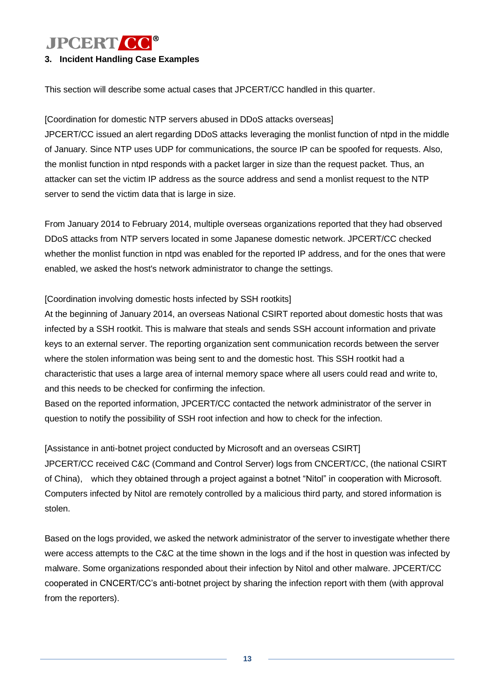#### **3. Incident Handling Case Examples**

This section will describe some actual cases that JPCERT/CC handled in this quarter.

#### [Coordination for domestic NTP servers abused in DDoS attacks overseas]

JPCERT/CC issued an alert regarding DDoS attacks leveraging the monlist function of ntpd in the middle of January. Since NTP uses UDP for communications, the source IP can be spoofed for requests. Also, the monlist function in ntpd responds with a packet larger in size than the request packet. Thus, an attacker can set the victim IP address as the source address and send a monlist request to the NTP server to send the victim data that is large in size.

From January 2014 to February 2014, multiple overseas organizations reported that they had observed DDoS attacks from NTP servers located in some Japanese domestic network. JPCERT/CC checked whether the monlist function in ntpd was enabled for the reported IP address, and for the ones that were enabled, we asked the host's network administrator to change the settings.

#### [Coordination involving domestic hosts infected by SSH rootkits]

At the beginning of January 2014, an overseas National CSIRT reported about domestic hosts that was infected by a SSH rootkit. This is malware that steals and sends SSH account information and private keys to an external server. The reporting organization sent communication records between the server where the stolen information was being sent to and the domestic host. This SSH rootkit had a characteristic that uses a large area of internal memory space where all users could read and write to, and this needs to be checked for confirming the infection.

Based on the reported information, JPCERT/CC contacted the network administrator of the server in question to notify the possibility of SSH root infection and how to check for the infection.

[Assistance in anti-botnet project conducted by Microsoft and an overseas CSIRT] JPCERT/CC received C&C (Command and Control Server) logs from CNCERT/CC, (the national CSIRT of China), which they obtained through a project against a botnet "Nitol" in cooperation with Microsoft. Computers infected by Nitol are remotely controlled by a malicious third party, and stored information is stolen.

Based on the logs provided, we asked the network administrator of the server to investigate whether there were access attempts to the C&C at the time shown in the logs and if the host in question was infected by malware. Some organizations responded about their infection by Nitol and other malware. JPCERT/CC cooperated in CNCERT/CC's anti-botnet project by sharing the infection report with them (with approval from the reporters).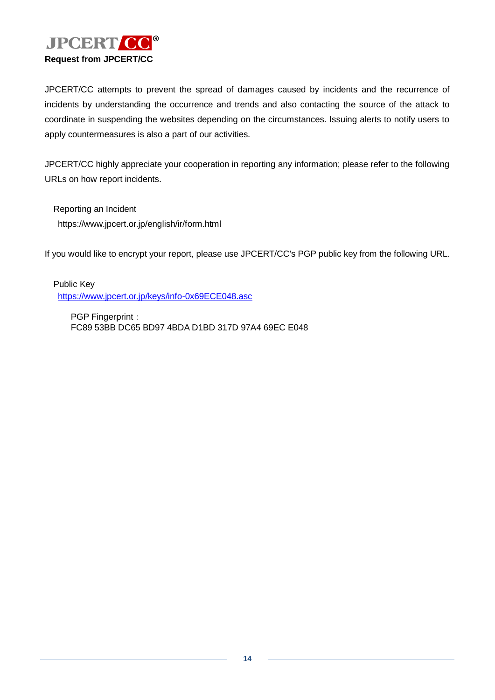

JPCERT/CC attempts to prevent the spread of damages caused by incidents and the recurrence of incidents by understanding the occurrence and trends and also contacting the source of the attack to coordinate in suspending the websites depending on the circumstances. Issuing alerts to notify users to apply countermeasures is also a part of our activities.

JPCERT/CC highly appreciate your cooperation in reporting any information; please refer to the following URLs on how report incidents.

Reporting an Incident https://www.jpcert.or.jp/english/ir/form.html

If you would like to encrypt your report, please use JPCERT/CC's PGP public key from the following URL.

Public Key <https://www.jpcert.or.jp/keys/info-0x69ECE048.asc>

PGP Fingerprint: FC89 53BB DC65 BD97 4BDA D1BD 317D 97A4 69EC E048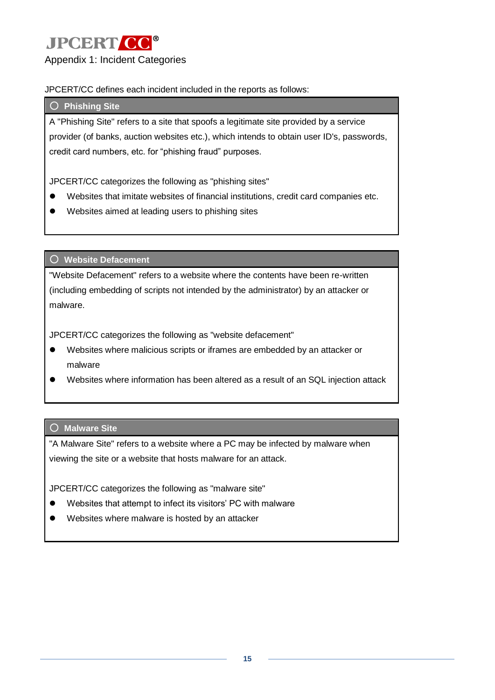

JPCERT/CC defines each incident included in the reports as follows:

#### ○ **Phishing Site**

A "Phishing Site" refers to a site that spoofs a legitimate site provided by a service provider (of banks, auction websites etc.), which intends to obtain user ID's, passwords, credit card numbers, etc. for "phishing fraud" purposes.

JPCERT/CC categorizes the following as "phishing sites"

- Websites that imitate websites of financial institutions, credit card companies etc.
- Websites aimed at leading users to phishing sites

○ **Website Defacement**

"Website Defacement" refers to a website where the contents have been re-written (including embedding of scripts not intended by the administrator) by an attacker or malware.

JPCERT/CC categorizes the following as "website defacement"

- Websites where malicious scripts or iframes are embedded by an attacker or malware
- Websites where information has been altered as a result of an SQL injection attack

#### ○ **Malware Site**

"A Malware Site" refers to a website where a PC may be infected by malware when viewing the site or a website that hosts malware for an attack.

JPCERT/CC categorizes the following as "malware site"

- Websites that attempt to infect its visitors' PC with malware
- Websites where malware is hosted by an attacker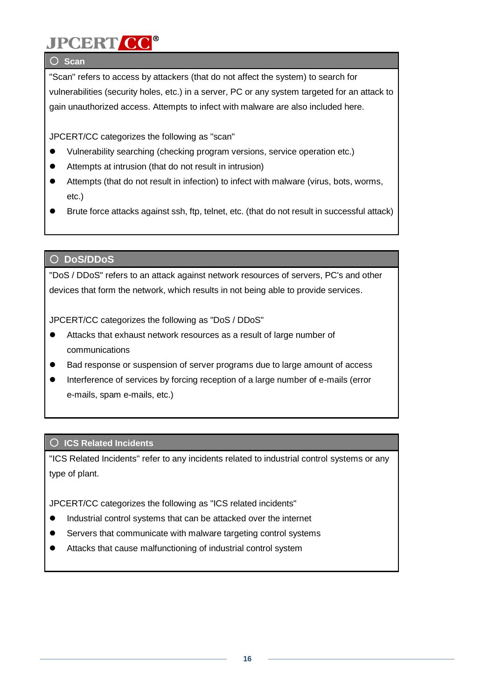### ○ **Scan**

"Scan" refers to access by attackers (that do not affect the system) to search for vulnerabilities (security holes, etc.) in a server, PC or any system targeted for an attack to gain unauthorized access. Attempts to infect with malware are also included here.

JPCERT/CC categorizes the following as "scan"

- Vulnerability searching (checking program versions, service operation etc.)
- Attempts at intrusion (that do not result in intrusion)
- Attempts (that do not result in infection) to infect with malware (virus, bots, worms, etc.)
- Brute force attacks against ssh, ftp, telnet, etc. (that do not result in successful attack)

### ○ **DoS/DDoS**

"DoS / DDoS" refers to an attack against network resources of servers, PC's and other devices that form the network, which results in not being able to provide services.

JPCERT/CC categorizes the following as "DoS / DDoS"

- Attacks that exhaust network resources as a result of large number of communications
- Bad response or suspension of server programs due to large amount of access
- Interference of services by forcing reception of a large number of e-mails (error e-mails, spam e-mails, etc.)

### ○ **ICS Related Incidents**

"ICS Related Incidents" refer to any incidents related to industrial control systems or any type of plant.

JPCERT/CC categorizes the following as "ICS related incidents"

- $\bullet$  Industrial control systems that can be attacked over the internet
- Servers that communicate with malware targeting control systems
- Attacks that cause malfunctioning of industrial control system